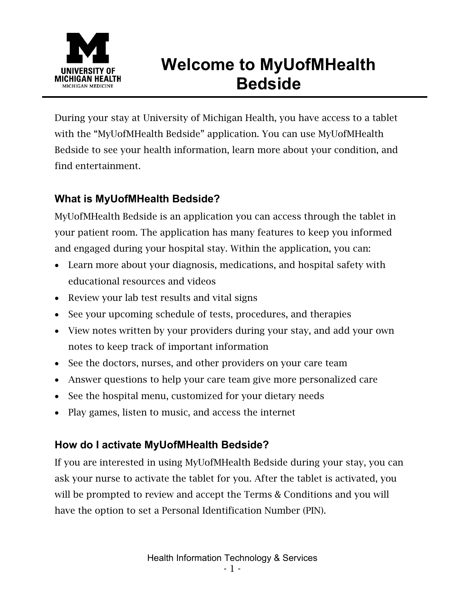

# **Welcome to MyUofMHealth Bedside**

During your stay at University of Michigan Health, you have access to a tablet with the "MyUofMHealth Bedside" application. You can use MyUofMHealth Bedside to see your health information, learn more about your condition, and find entertainment.

## **What is MyUofMHealth Bedside?**

MyUofMHealth Bedside is an application you can access through the tablet in your patient room. The application has many features to keep you informed and engaged during your hospital stay. Within the application, you can:

- Learn more about your diagnosis, medications, and hospital safety with educational resources and videos
- Review your lab test results and vital signs
- See your upcoming schedule of tests, procedures, and therapies
- View notes written by your providers during your stay, and add your own notes to keep track of important information
- See the doctors, nurses, and other providers on your care team
- Answer questions to help your care team give more personalized care
- See the hospital menu, customized for your dietary needs
- Play games, listen to music, and access the internet

# **How do I activate MyUofMHealth Bedside?**

If you are interested in using MyUofMHealth Bedside during your stay, you can ask your nurse to activate the tablet for you. After the tablet is activated, you will be prompted to review and accept the Terms & Conditions and you will have the option to set a Personal Identification Number (PIN).